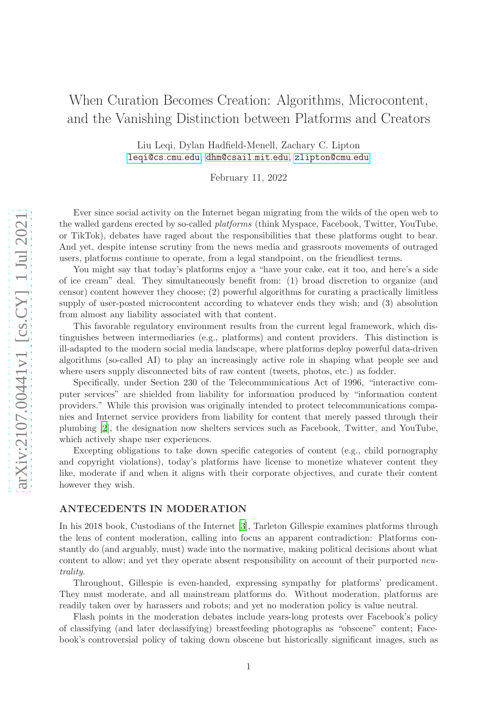# When Curation Becomes Creation: Algorithms, Microcontent, and the Vanishing Distinction between Platforms and Creators

Liu Leqi, Dylan Hadfield-Menell, Zachary C. Lipton [leqi@cs](mailto:leqi@cs.cmu.edu).cmu.edu , [dhm@csail](mailto:dylanhm@mit.edu).mit.edu , [zlipton@cmu](mailto:zlipton@cmu.edu).edu

February 11, 2022

Ever since social activity on the Internet began migrating from the wilds of the open web to the walled gardens erected by so-called *platforms* (think Myspace, Facebook, Twitter, YouTube, or TikTok), debates have raged about the responsibilities that these platforms ought to bear. And yet, despite intense scrutiny from the news media and grassroots movements of outraged users, platforms continue to operate, from a legal standpoint, on the friendliest terms.

You might say that today's platforms enjoy a "have your cake, eat it too, and here's a side of ice cream" deal. They simultaneously benefit from: (1) broad discretion to organize (and censor) content however they choose; (2) powerful algorithms for curating a practically limitless supply of user-posted microcontent according to whatever ends they wish; and (3) absolution from almost any liability associated with that content.

This favorable regulatory environment results from the current legal framework, which distinguishes between intermediaries (e.g., platforms) and content providers. This distinction is ill-adapted to the modern social media landscape, where platforms deploy powerful data-driven algorithms (so-called AI) to play an increasingly active role in shaping what people see and where users supply disconnected bits of raw content (tweets, photos, etc.) as fodder.

Specifically, under Section 230 of the Telecommunications Act of 1996, "interactive computer services" are shielded from liability for information produced by "information content providers." While this provision was originally intended to protect telecommunications companies and Internet service providers from liability for content that merely passed through their plumbing [\[2](#page-3-0)], the designation now shelters services such as Facebook, Twitter, and YouTube, which actively shape user experiences.

Excepting obligations to take down specific categories of content (e.g., child pornography and copyright violations), today's platforms have license to monetize whatever content they like, moderate if and when it aligns with their corporate objectives, and curate their content however they wish.

#### ANTECEDENTS IN MODERATION

In his 2018 book, Custodians of the Internet [\[3\]](#page-3-1), Tarleton Gillespie examines platforms through the lens of content moderation, calling into focus an apparent contradiction: Platforms constantly do (and arguably, must) wade into the normative, making political decisions about what content to allow; and yet they operate absent responsibility on account of their purported *neutrality*.

Throughout, Gillespie is even-handed, expressing sympathy for platforms' predicament. They must moderate, and all mainstream platforms do. Without moderation, platforms are readily taken over by harassers and robots; and yet no moderation policy is value neutral.

Flash points in the moderation debates include years-long protests over Facebook's policy of classifying (and later declassifying) breastfeeding photographs as "obscene" content; Facebook's controversial policy of taking down obscene but historically significant images, such as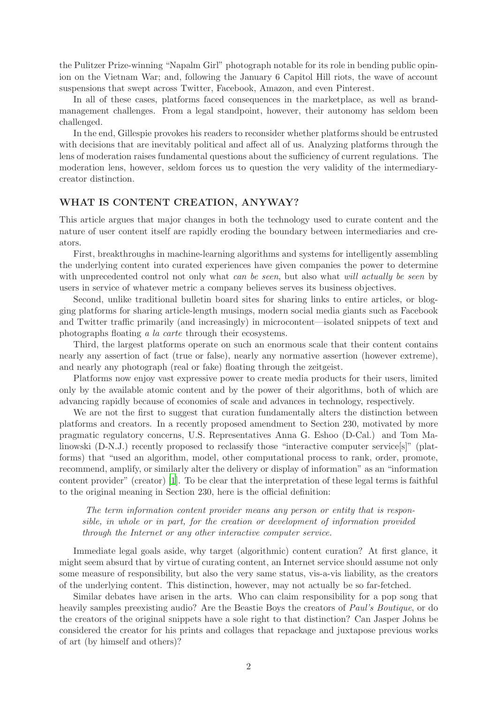the Pulitzer Prize-winning "Napalm Girl" photograph notable for its role in bending public opinion on the Vietnam War; and, following the January 6 Capitol Hill riots, the wave of account suspensions that swept across Twitter, Facebook, Amazon, and even Pinterest.

In all of these cases, platforms faced consequences in the marketplace, as well as brandmanagement challenges. From a legal standpoint, however, their autonomy has seldom been challenged.

In the end, Gillespie provokes his readers to reconsider whether platforms should be entrusted with decisions that are inevitably political and affect all of us. Analyzing platforms through the lens of moderation raises fundamental questions about the sufficiency of current regulations. The moderation lens, however, seldom forces us to question the very validity of the intermediarycreator distinction.

## WHAT IS CONTENT CREATION, ANYWAY?

This article argues that major changes in both the technology used to curate content and the nature of user content itself are rapidly eroding the boundary between intermediaries and creators.

First, breakthroughs in machine-learning algorithms and systems for intelligently assembling the underlying content into curated experiences have given companies the power to determine with unprecedented control not only what *can be seen*, but also what *will actually be seen* by users in service of whatever metric a company believes serves its business objectives.

Second, unlike traditional bulletin board sites for sharing links to entire articles, or blogging platforms for sharing article-length musings, modern social media giants such as Facebook and Twitter traffic primarily (and increasingly) in microcontent—isolated snippets of text and photographs floating *a la carte* through their ecosystems.

Third, the largest platforms operate on such an enormous scale that their content contains nearly any assertion of fact (true or false), nearly any normative assertion (however extreme), and nearly any photograph (real or fake) floating through the zeitgeist.

Platforms now enjoy vast expressive power to create media products for their users, limited only by the available atomic content and by the power of their algorithms, both of which are advancing rapidly because of economies of scale and advances in technology, respectively.

We are not the first to suggest that curation fundamentally alters the distinction between platforms and creators. In a recently proposed amendment to Section 230, motivated by more pragmatic regulatory concerns, U.S. Representatives Anna G. Eshoo (D-Cal.) and Tom Malinowski (D-N.J.) recently proposed to reclassify those "interactive computer service[s]" (platforms) that "used an algorithm, model, other computational process to rank, order, promote, recommend, amplify, or similarly alter the delivery or display of information" as an "information content provider" (creator) [\[1](#page-3-2)]. To be clear that the interpretation of these legal terms is faithful to the original meaning in Section 230, here is the official definition:

*The term information content provider means any person or entity that is responsible, in whole or in part, for the creation or development of information provided through the Internet or any other interactive computer service.*

Immediate legal goals aside, why target (algorithmic) content curation? At first glance, it might seem absurd that by virtue of curating content, an Internet service should assume not only some measure of responsibility, but also the very same status, vis-a-vis liability, as the creators of the underlying content. This distinction, however, may not actually be so far-fetched.

Similar debates have arisen in the arts. Who can claim responsibility for a pop song that heavily samples preexisting audio? Are the Beastie Boys the creators of *Paul's Boutique*, or do the creators of the original snippets have a sole right to that distinction? Can Jasper Johns be considered the creator for his prints and collages that repackage and juxtapose previous works of art (by himself and others)?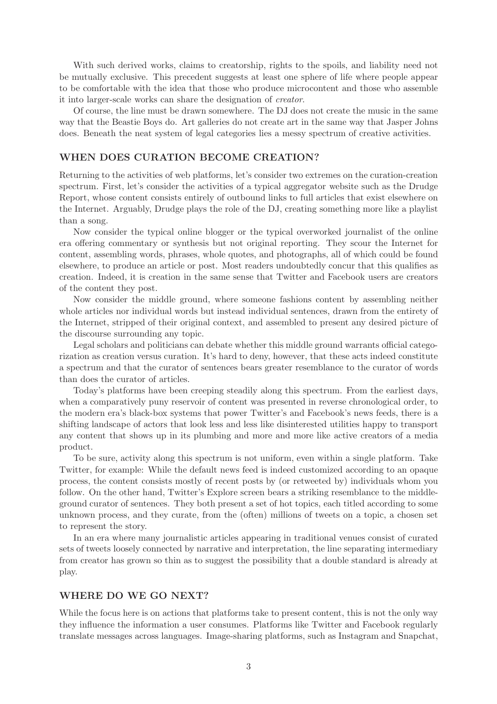With such derived works, claims to creatorship, rights to the spoils, and liability need not be mutually exclusive. This precedent suggests at least one sphere of life where people appear to be comfortable with the idea that those who produce microcontent and those who assemble it into larger-scale works can share the designation of *creator*.

Of course, the line must be drawn somewhere. The DJ does not create the music in the same way that the Beastie Boys do. Art galleries do not create art in the same way that Jasper Johns does. Beneath the neat system of legal categories lies a messy spectrum of creative activities.

### WHEN DOES CURATION BECOME CREATION?

Returning to the activities of web platforms, let's consider two extremes on the curation-creation spectrum. First, let's consider the activities of a typical aggregator website such as the Drudge Report, whose content consists entirely of outbound links to full articles that exist elsewhere on the Internet. Arguably, Drudge plays the role of the DJ, creating something more like a playlist than a song.

Now consider the typical online blogger or the typical overworked journalist of the online era offering commentary or synthesis but not original reporting. They scour the Internet for content, assembling words, phrases, whole quotes, and photographs, all of which could be found elsewhere, to produce an article or post. Most readers undoubtedly concur that this qualifies as creation. Indeed, it is creation in the same sense that Twitter and Facebook users are creators of the content they post.

Now consider the middle ground, where someone fashions content by assembling neither whole articles nor individual words but instead individual sentences, drawn from the entirety of the Internet, stripped of their original context, and assembled to present any desired picture of the discourse surrounding any topic.

Legal scholars and politicians can debate whether this middle ground warrants official categorization as creation versus curation. It's hard to deny, however, that these acts indeed constitute a spectrum and that the curator of sentences bears greater resemblance to the curator of words than does the curator of articles.

Today's platforms have been creeping steadily along this spectrum. From the earliest days, when a comparatively puny reservoir of content was presented in reverse chronological order, to the modern era's black-box systems that power Twitter's and Facebook's news feeds, there is a shifting landscape of actors that look less and less like disinterested utilities happy to transport any content that shows up in its plumbing and more and more like active creators of a media product.

To be sure, activity along this spectrum is not uniform, even within a single platform. Take Twitter, for example: While the default news feed is indeed customized according to an opaque process, the content consists mostly of recent posts by (or retweeted by) individuals whom you follow. On the other hand, Twitter's Explore screen bears a striking resemblance to the middleground curator of sentences. They both present a set of hot topics, each titled according to some unknown process, and they curate, from the (often) millions of tweets on a topic, a chosen set to represent the story.

In an era where many journalistic articles appearing in traditional venues consist of curated sets of tweets loosely connected by narrative and interpretation, the line separating intermediary from creator has grown so thin as to suggest the possibility that a double standard is already at play.

#### WHERE DO WE GO NEXT?

While the focus here is on actions that platforms take to present content, this is not the only way they influence the information a user consumes. Platforms like Twitter and Facebook regularly translate messages across languages. Image-sharing platforms, such as Instagram and Snapchat,